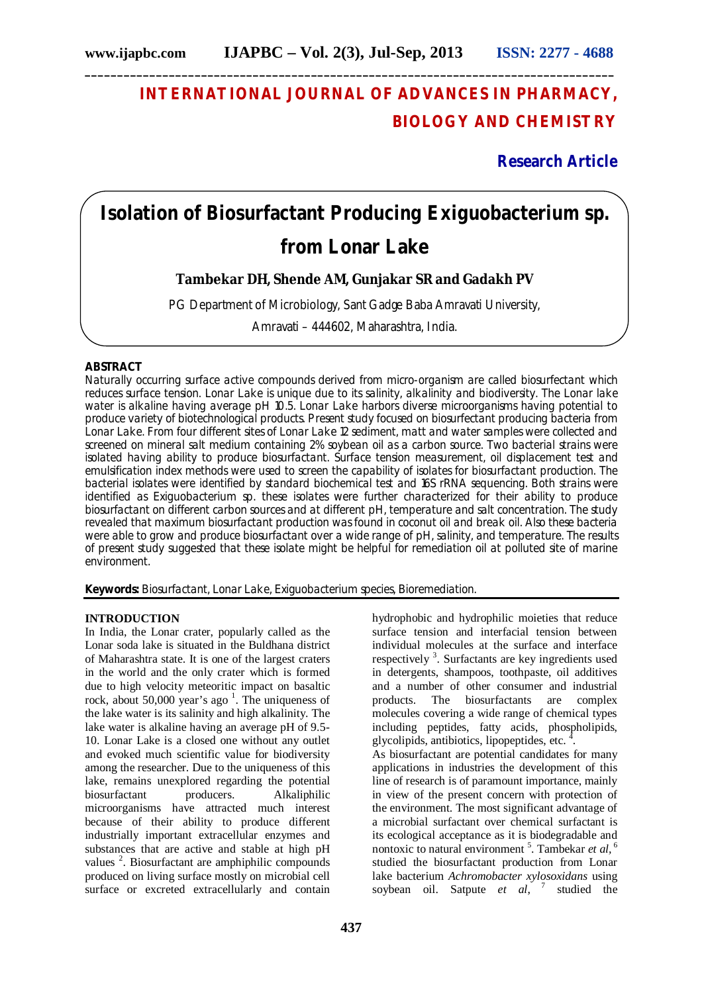# **INTERNATIONAL JOURNAL OF ADVANCES IN PHARMACY, BIOLOGY AND CHEMISTRY**

**Research Article**

# **Isolation of Biosurfactant Producing** *Exiguobacterium* **sp. from Lonar Lake**

**Tambekar DH, Shende AM, Gunjakar SR and Gadakh PV** 

PG Department of Microbiology, Sant Gadge Baba Amravati University,

Amravati – 444602, Maharashtra, India.

# **ABSTRACT**

Naturally occurring surface active compounds derived from micro-organism are called biosurfectant which reduces surface tension. Lonar Lake is unique due to its salinity, alkalinity and biodiversity. The Lonar lake water is alkaline having average pH 10.5. Lonar Lake harbors diverse microorganisms having potential to produce variety of biotechnological products. Present study focused on biosurfectant producing bacteria from Lonar Lake. From four different sites of Lonar Lake 12 sediment, matt and water samples were collected and screened on mineral salt medium containing 2% soybean oil as a carbon source. Two bacterial strains were isolated having ability to produce biosurfactant. Surface tension measurement, oil displacement test and emulsification index methods were used to screen the capability of isolates for biosurfactant production. The bacterial isolates were identified by standard biochemical test and 16S rRNA sequencing. Both strains were identified as *Exiguobacterium* sp. these isolates were further characterized for their ability to produce biosurfactant on different carbon sources and at different pH, temperature and salt concentration. The study revealed that maximum biosurfactant production was found in coconut oil and break oil. Also these bacteria were able to grow and produce biosurfactant over a wide range of pH, salinity, and temperature. The results of present study suggested that these isolate might be helpful for remediation oil at polluted site of marine environment.

**Keywords:** Biosurfactant, Lonar Lake, *Exiguobacterium* species, Bioremediation.

## **INTRODUCTION**

In India, the Lonar crater, popularly called as the Lonar soda lake is situated in the Buldhana district of Maharashtra state. It is one of the largest craters in the world and the only crater which is formed due to high velocity meteoritic impact on basaltic rock, about 50,000 year's ago<sup>1</sup>. The uniqueness of the lake water is its salinity and high alkalinity. The lake water is alkaline having an average pH of 9.5- 10. Lonar Lake is a closed one without any outlet and evoked much scientific value for biodiversity among the researcher. Due to the uniqueness of this lake, remains unexplored regarding the potential biosurfactant producers. Alkaliphilic microorganisms have attracted much interest because of their ability to produce different industrially important extracellular enzymes and substances that are active and stable at high pH values<sup>2</sup>. Biosurfactant are amphiphilic compounds produced on living surface mostly on microbial cell surface or excreted extracellularly and contain

hydrophobic and hydrophilic moieties that reduce surface tension and interfacial tension between individual molecules at the surface and interface respectively<sup>3</sup>. Surfactants are key ingredients used in detergents, shampoos, toothpaste, oil additives and a number of other consumer and industrial products. The biosurfactants are complex molecules covering a wide range of chemical types including peptides, fatty acids, phospholipids, glycolipids, antibiotics, lipopeptides, etc.  $4$ . As biosurfactant are potential candidates for many applications in industries the development of this line of research is of paramount importance, mainly in view of the present concern with protection of

the environment. The most significant advantage of a microbial surfactant over chemical surfactant is its ecological acceptance as it is biodegradable and nontoxic to natural environment<sup>5</sup>. Tambekar et al, <sup>6</sup> studied the biosurfactant production from Lonar lake bacterium *Achromobacter xylosoxidans* using soybean oil. Satpute *et al*, 7 studied the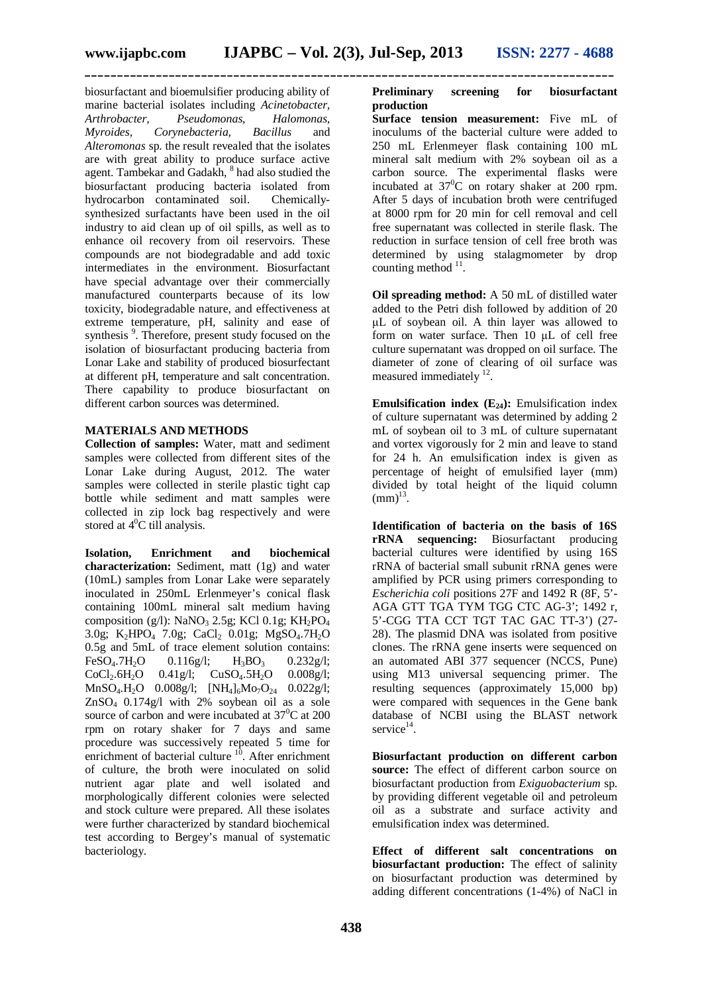biosurfactant and bioemulsifier producing ability of marine bacterial isolates including *Acinetobacter, Arthrobacter, Pseudomonas, Halomonas, Myroides, Corynebacteria, Bacillus* and *Alteromonas* sp. the result revealed that the isolates are with great ability to produce surface active agent. Tambekar and Gadakh, <sup>8</sup> had also studied the biosurfactant producing bacteria isolated from hydrocarbon contaminated soil. Chemicallysynthesized surfactants have been used in the oil industry to aid clean up of oil spills, as well as to enhance oil recovery from oil reservoirs. These compounds are not biodegradable and add toxic intermediates in the environment. Biosurfactant have special advantage over their commercially manufactured counterparts because of its low toxicity, biodegradable nature, and effectiveness at extreme temperature, pH, salinity and ease of synthesis<sup>9</sup>. Therefore, present study focused on the isolation of biosurfactant producing bacteria from Lonar Lake and stability of produced biosurfectant at different pH, temperature and salt concentration. There capability to produce biosurfactant on different carbon sources was determined.

#### **MATERIALS AND METHODS**

**Collection of samples:** Water, matt and sediment samples were collected from different sites of the Lonar Lake during August, 2012. The water samples were collected in sterile plastic tight cap bottle while sediment and matt samples were collected in zip lock bag respectively and were stored at  $4^0C$  till analysis.

**Isolation, Enrichment and biochemical characterization:** Sediment, matt (1g) and water (10mL) samples from Lonar Lake were separately inoculated in 250mL Erlenmeyer's conical flask containing 100mL mineral salt medium having composition (g/l): NaNO<sub>3</sub> 2.5g; KCl 0.1g; KH<sub>2</sub>PO<sub>4</sub> 3.0g; K<sub>2</sub>HPO<sub>4</sub> 7.0g; CaCl<sub>2</sub> 0.01g; MgSO<sub>4</sub>.7H<sub>2</sub>O 0.5g and 5mL of trace element solution contains: FeSO<sub>4</sub>.7H<sub>2</sub>O 0.116g/l; H<sub>3</sub>BO<sub>3</sub> 0.232g/l;  $CoCl_2.6H_2O$  0.41g/l;  $CuSO_4.5H_2O$  0.008g/l;  $MnSO_4.H_2O$  0.008g/l;  $[NH_4]_6Mo_7O_{24}$  0.022g/l;  $ZnSO<sub>4</sub>$  0.174g/l with 2% soybean oil as a sole source of carbon and were incubated at  $37^{\circ}$ C at 200 rpm on rotary shaker for 7 days and same procedure was successively repeated 5 time for enrichment of bacterial culture  $10$ . After enrichment of culture, the broth were inoculated on solid nutrient agar plate and well isolated and morphologically different colonies were selected and stock culture were prepared. All these isolates were further characterized by standard biochemical test according to Bergey's manual of systematic bacteriology.

### **Preliminary screening for biosurfactant production**

**Surface tension measurement:** Five mL of inoculums of the bacterial culture were added to 250 mL Erlenmeyer flask containing 100 mL mineral salt medium with 2% soybean oil as a carbon source. The experimental flasks were incubated at  $37^0C$  on rotary shaker at 200 rpm. After 5 days of incubation broth were centrifuged at 8000 rpm for 20 min for cell removal and cell free supernatant was collected in sterile flask. The reduction in surface tension of cell free broth was determined by using stalagmometer by drop counting method  $11$ .

**Oil spreading method:** A 50 mL of distilled water added to the Petri dish followed by addition of 20 μL of soybean oil. A thin layer was allowed to form on water surface. Then 10 μL of cell free culture supernatant was dropped on oil surface. The diameter of zone of clearing of oil surface was measured immediately <sup>12</sup>.

**Emulsification index**  $(E_{24})$ **: Emulsification index** of culture supernatant was determined by adding 2 mL of soybean oil to 3 mL of culture supernatant and vortex vigorously for 2 min and leave to stand for 24 h. An emulsification index is given as percentage of height of emulsified layer (mm) divided by total height of the liquid column  $(mm)^{13}$ .

**Identification of bacteria on the basis of 16S rRNA sequencing:** Biosurfactant producing bacterial cultures were identified by using 16S rRNA of bacterial small subunit rRNA genes were amplified by PCR using primers corresponding to *Escherichia coli* positions 27F and 1492 R (8F, 5'- AGA GTT TGA TYM TGG CTC AG-3'; 1492 r, 5'-CGG TTA CCT TGT TAC GAC TT-3') (27- 28). The plasmid DNA was isolated from positive clones. The rRNA gene inserts were sequenced on an automated ABI 377 sequencer (NCCS, Pune) using M13 universal sequencing primer. The resulting sequences (approximately 15,000 bp) were compared with sequences in the Gene bank database of NCBI using the BLAST network service<sup>14</sup>.

**Biosurfactant production on different carbon source:** The effect of different carbon source on biosurfactant production from *Exiguobacterium* sp. by providing different vegetable oil and petroleum oil as a substrate and surface activity and emulsification index was determined.

**Effect of different salt concentrations on biosurfactant production:** The effect of salinity on biosurfactant production was determined by adding different concentrations (1-4%) of NaCl in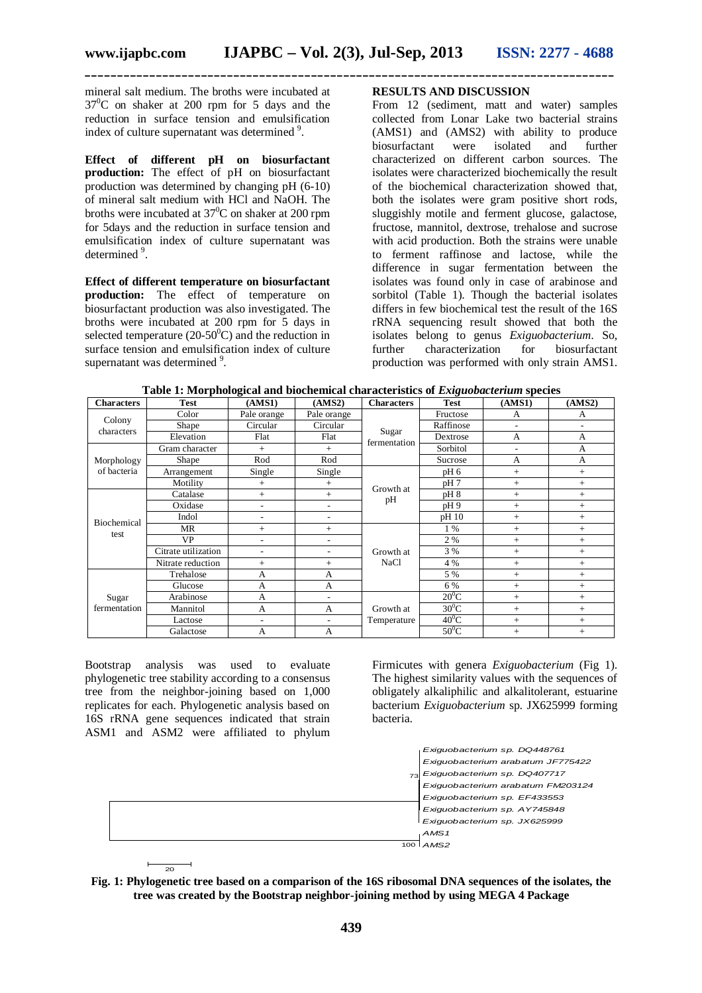**\_\_\_\_\_\_\_\_\_\_\_\_\_\_\_\_\_\_\_\_\_\_\_\_\_\_\_\_\_\_\_\_\_\_\_\_\_\_\_\_\_\_\_\_\_\_\_\_\_\_\_\_\_\_\_\_\_\_\_\_\_\_\_\_\_\_\_\_\_\_\_\_\_\_\_\_\_\_\_\_\_\_**

mineral salt medium. The broths were incubated at  $37^{\circ}$ C on shaker at 200 rpm for 5 days and the reduction in surface tension and emulsification index of culture supernatant was determined<sup>9</sup>.

**Effect of different pH on biosurfactant production:** The effect of pH on biosurfactant production was determined by changing pH (6-10) of mineral salt medium with HCl and NaOH. The broths were incubated at  $37^0$ C on shaker at 200 rpm for 5days and the reduction in surface tension and emulsification index of culture supernatant was determined<sup>9</sup>.

**Effect of different temperature on biosurfactant production:** The effect of temperature on biosurfactant production was also investigated. The broths were incubated at 200 rpm for 5 days in selected temperature (20-50 $^{\circ}$ C) and the reduction in surface tension and emulsification index of culture supernatant was determined <sup>9</sup>.

# **RESULTS AND DISCUSSION**

From 12 (sediment, matt and water) samples collected from Lonar Lake two bacterial strains (AMS1) and (AMS2) with ability to produce biosurfactant were isolated and further characterized on different carbon sources. The isolates were characterized biochemically the result of the biochemical characterization showed that, both the isolates were gram positive short rods, sluggishly motile and ferment glucose, galactose, fructose, mannitol, dextrose, trehalose and sucrose with acid production. Both the strains were unable to ferment raffinose and lactose, while the difference in sugar fermentation between the isolates was found only in case of arabinose and sorbitol (Table 1). Though the bacterial isolates differs in few biochemical test the result of the 16S rRNA sequencing result showed that both the isolates belong to genus *Exiguobacterium*. So, further characterization production was performed with only strain AMS1.

| <b>Characters</b>         | <b>Test</b>         | o<br>(AMS1)              | (AMS2)      | <b>Characters</b>        | ັ<br><b>Test</b> | (AMS1) | (AMS2) |
|---------------------------|---------------------|--------------------------|-------------|--------------------------|------------------|--------|--------|
| Colony<br>characters      | Color               | Pale orange              | Pale orange | Sugar<br>fermentation    | Fructose         | A      | A      |
|                           | Shape               | Circular                 | Circular    |                          | Raffinose        | ٠      |        |
|                           | Elevation           | Flat                     | Flat        |                          | Dextrose         | A      | A      |
| Morphology<br>of bacteria | Gram character      | $^{+}$                   | $+$         |                          | Sorbitol         | ٠      | A      |
|                           | Shape               | Rod                      | Rod         |                          | Sucrose          | A      | A      |
|                           | Arrangement         | Single                   | Single      | Growth at<br>pH          | pH <sub>6</sub>  | $^{+}$ | $^{+}$ |
|                           | Motility            | $+$                      | $^{+}$      |                          | pH 7             | $^{+}$ | $+$    |
| Biochemical<br>test       | Catalase            | $+$                      | $^{+}$      |                          | pH 8             | $^{+}$ | $^{+}$ |
|                           | Oxidase             | $\overline{\phantom{a}}$ |             |                          | pH9              | $^{+}$ | $+$    |
|                           | Indol               | ٠                        | ۰           |                          | pH 10            | $^{+}$ | $+$    |
|                           | MR                  | $+$                      | $+$         | Growth at<br><b>NaCl</b> | 1 %              | $^{+}$ | $+$    |
|                           | <b>VP</b>           | $\overline{\phantom{a}}$ |             |                          | 2 %              | $^{+}$ | $^{+}$ |
|                           | Citrate utilization | ٠                        |             |                          | 3 %              | $^{+}$ | $+$    |
|                           | Nitrate reduction   | $+$                      | $+$         |                          | 4 %              | $^{+}$ | $+$    |
| Sugar<br>fermentation     | Trehalose           | A                        | A           |                          | 5 %              | $^{+}$ | $+$    |
|                           | Glucose             | A                        | A           |                          | 6 %              | $^{+}$ | $^{+}$ |
|                           | Arabinose           | A                        |             | Growth at<br>Temperature | $20^0C$          | $^{+}$ | $+$    |
|                           | Mannitol            | A                        | A           |                          | $30^0C$          | $^{+}$ | $^{+}$ |
|                           | Lactose             | $\overline{\phantom{a}}$ | ۰           |                          | $40^0$ C         | $^{+}$ | $+$    |
|                           | Galactose           | A                        | A           |                          | $50^0$ C         | $^{+}$ | $^{+}$ |

**Table 1: Morphological and biochemical characteristics of** *Exiguobacterium* **species**

Bootstrap analysis was used to evaluate phylogenetic tree stability according to a consensus tree from the neighbor-joining based on 1,000 replicates for each. Phylogenetic analysis based on 16S rRNA gene sequences indicated that strain ASM1 and ASM2 were affiliated to phylum

Firmicutes with genera *Exiguobacterium* (Fig 1). The highest similarity values with the sequences of obligately alkaliphilic and alkalitolerant, estuarine bacterium *Exiguobacterium* sp. JX625999 forming bacteria.



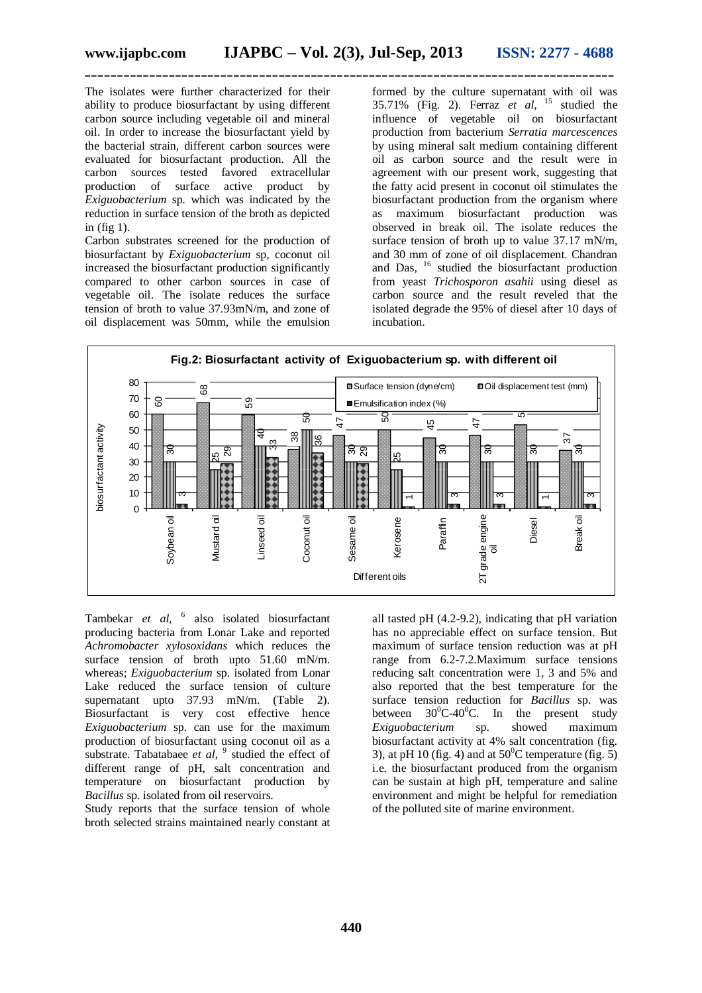The isolates were further characterized for their ability to produce biosurfactant by using different carbon source including vegetable oil and mineral oil. In order to increase the biosurfactant yield by the bacterial strain, different carbon sources were evaluated for biosurfactant production. All the carbon sources tested favored extracellular production of surface active product by *Exiguobacterium* sp. which was indicated by the reduction in surface tension of the broth as depicted in (fig 1).

Carbon substrates screened for the production of biosurfactant by *Exiguobacterium* sp, coconut oil increased the biosurfactant production significantly compared to other carbon sources in case of vegetable oil. The isolate reduces the surface tension of broth to value 37.93mN/m, and zone of oil displacement was 50mm, while the emulsion

formed by the culture supernatant with oil was 35.71% (Fig. 2). Ferraz *et al*, <sup>15</sup> studied the influence of vegetable oil on biosurfactant production from bacterium *Serratia marcescences* by using mineral salt medium containing different oil as carbon source and the result were in agreement with our present work, suggesting that the fatty acid present in coconut oil stimulates the biosurfactant production from the organism where as maximum biosurfactant production was observed in break oil. The isolate reduces the surface tension of broth up to value 37.17 mN/m, and 30 mm of zone of oil displacement. Chandran and Das, <sup>16</sup> studied the biosurfactant production from yeast *Trichosporon asahii* using diesel as carbon source and the result reveled that the isolated degrade the 95% of diesel after 10 days of incubation.



Tambekar *et al*, 6 also isolated biosurfactant producing bacteria from Lonar Lake and reported *Achromobacter xylosoxidans* which reduces the surface tension of broth upto 51.60 mN/m. whereas; *Exiguobacterium* sp. isolated from Lonar Lake reduced the surface tension of culture supernatant upto 37.93 mN/m. (Table 2). Biosurfactant is very cost effective hence *Exiguobacterium* sp. can use for the maximum production of biosurfactant using coconut oil as a substrate. Tabatabaee *et al*, <sup>9</sup> studied the effect of different range of pH, salt concentration and temperature on biosurfactant production by *Bacillus* sp. isolated from oil reservoirs.

Study reports that the surface tension of whole broth selected strains maintained nearly constant at all tasted pH (4.2-9.2), indicating that pH variation has no appreciable effect on surface tension. But maximum of surface tension reduction was at pH range from 6.2-7.2.Maximum surface tensions reducing salt concentration were 1, 3 and 5% and also reported that the best temperature for the surface tension reduction for *Bacillus* sp. was between  $30^0C-40^0C$ . In the present study *Exiguobacterium* sp. showed maximum biosurfactant activity at 4% salt concentration (fig. 3), at pH 10 (fig. 4) and at  $50^{\circ}$ C temperature (fig. 5) i.e. the biosurfactant produced from the organism can be sustain at high pH, temperature and saline environment and might be helpful for remediation of the polluted site of marine environment.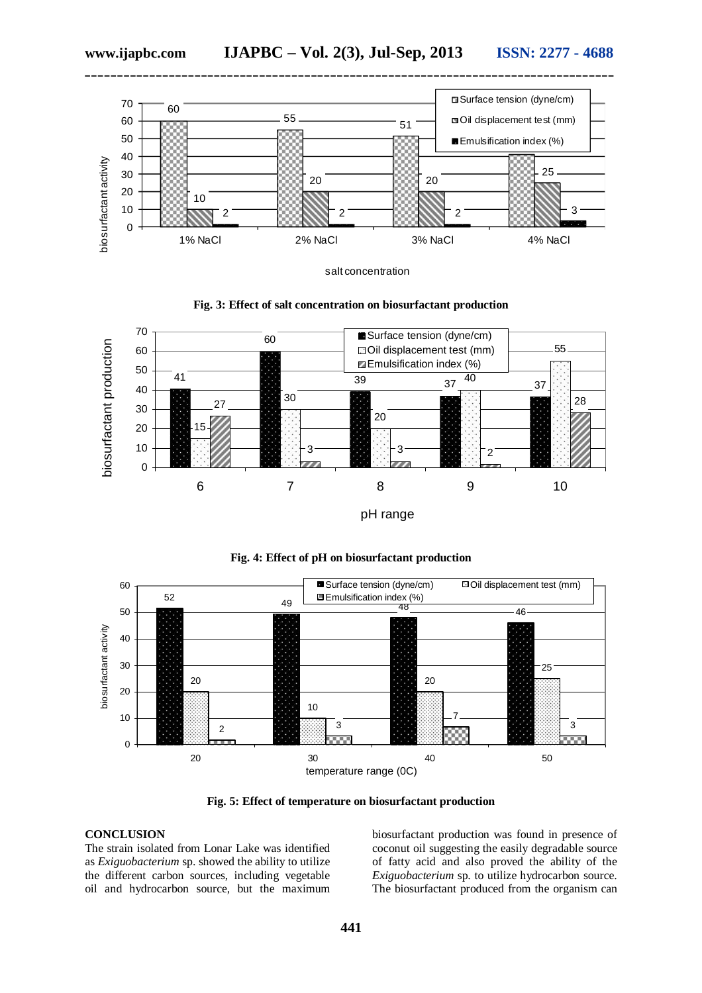

salt concentration





pH range





**Fig. 5: Effect of temperature on biosurfactant production**

# **CONCLUSION**

The strain isolated from Lonar Lake was identified as *Exiguobacterium* sp. showed the ability to utilize the different carbon sources, including vegetable oil and hydrocarbon source, but the maximum

biosurfactant production was found in presence of coconut oil suggesting the easily degradable source of fatty acid and also proved the ability of the *Exiguobacterium* sp. to utilize hydrocarbon source. The biosurfactant produced from the organism can